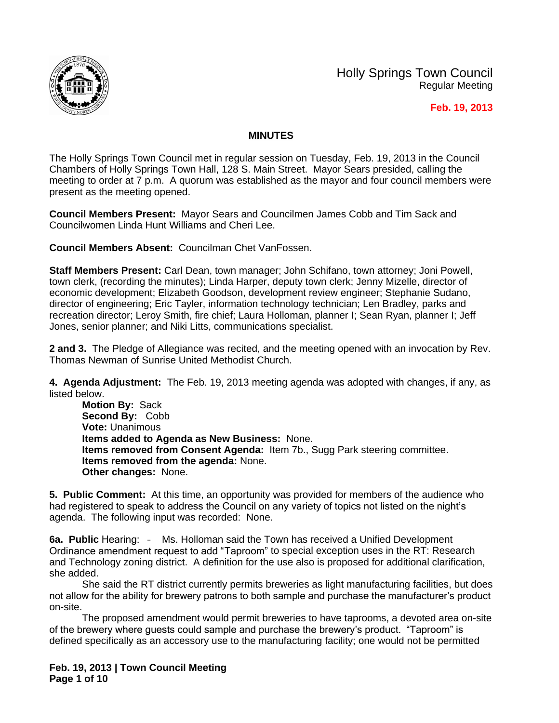

Holly Springs Town Council Regular Meeting

#### **Feb. 19, 2013**

### **MINUTES**

The Holly Springs Town Council met in regular session on Tuesday, Feb. 19, 2013 in the Council Chambers of Holly Springs Town Hall, 128 S. Main Street. Mayor Sears presided, calling the meeting to order at 7 p.m. A quorum was established as the mayor and four council members were present as the meeting opened.

**Council Members Present:** Mayor Sears and Councilmen James Cobb and Tim Sack and Councilwomen Linda Hunt Williams and Cheri Lee.

**Council Members Absent:** Councilman Chet VanFossen.

**Staff Members Present:** Carl Dean, town manager; John Schifano, town attorney; Joni Powell, town clerk, (recording the minutes); Linda Harper, deputy town clerk; Jenny Mizelle, director of economic development; Elizabeth Goodson, development review engineer; Stephanie Sudano, director of engineering; Eric Tayler, information technology technician; Len Bradley, parks and recreation director; Leroy Smith, fire chief; Laura Holloman, planner I; Sean Ryan, planner I; Jeff Jones, senior planner; and Niki Litts, communications specialist.

**2 and 3.** The Pledge of Allegiance was recited, and the meeting opened with an invocation by Rev. Thomas Newman of Sunrise United Methodist Church.

**4. Agenda Adjustment:** The Feb. 19, 2013 meeting agenda was adopted with changes, if any, as listed below.

**Motion By:** Sack **Second By:** Cobb **Vote:** Unanimous **Items added to Agenda as New Business:** None. **Items removed from Consent Agenda:** Item 7b., Sugg Park steering committee. **Items removed from the agenda:** None. **Other changes:** None.

**5. Public Comment:** At this time, an opportunity was provided for members of the audience who had registered to speak to address the Council on any variety of topics not listed on the night's agenda. The following input was recorded: None.

**6a. Public** Hearing: – Ms. Holloman said the Town has received a Unified Development Ordinance amendment request to add "Taproom" to special exception uses in the RT: Research and Technology zoning district. A definition for the use also is proposed for additional clarification, she added.

She said the RT district currently permits breweries as light manufacturing facilities, but does not allow for the ability for brewery patrons to both sample and purchase the manufacturer's product on-site.

The proposed amendment would permit breweries to have taprooms, a devoted area on-site of the brewery where guests could sample and purchase the brewery's product. "Taproom" is defined specifically as an accessory use to the manufacturing facility; one would not be permitted

**Feb. 19, 2013 | Town Council Meeting Page 1 of 10**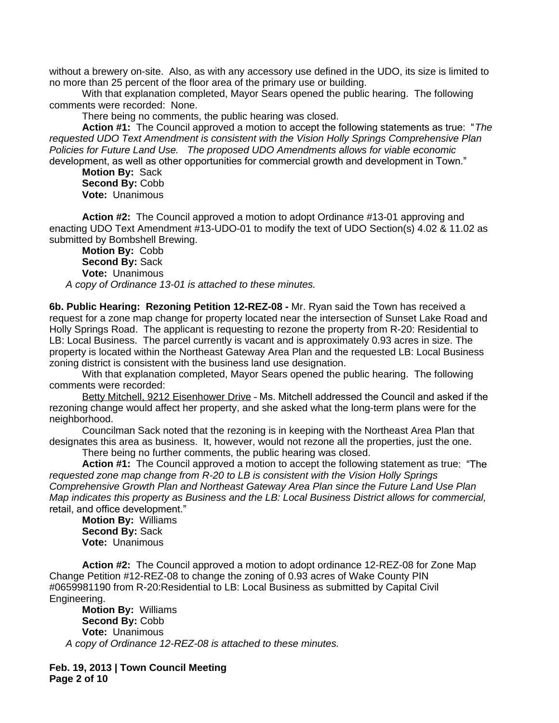without a brewery on-site. Also, as with any accessory use defined in the UDO, its size is limited to no more than 25 percent of the floor area of the primary use or building.

With that explanation completed, Mayor Sears opened the public hearing. The following comments were recorded: None.

There being no comments, the public hearing was closed.

**Action #1:** The Council approved a motion to accept the following statements as true: "*The requested UDO Text Amendment is consistent with the Vision Holly Springs Comprehensive Plan Policies for Future Land Use. The proposed UDO Amendments allows for viable economic*  development, as well as other opportunities for commercial growth and development in Town."

**Motion By:** Sack **Second By:** Cobb **Vote:** Unanimous

**Action #2:** The Council approved a motion to adopt Ordinance #13-01 approving and enacting UDO Text Amendment #13-UDO-01 to modify the text of UDO Section(s) 4.02 & 11.02 as submitted by Bombshell Brewing.

**Motion By:** Cobb **Second By:** Sack **Vote:** Unanimous *A copy of Ordinance 13-01 is attached to these minutes.*

**6b. Public Hearing: Rezoning Petition 12-REZ-08 -** Mr. Ryan said the Town has received a request for a zone map change for property located near the intersection of Sunset Lake Road and Holly Springs Road. The applicant is requesting to rezone the property from R-20: Residential to LB: Local Business. The parcel currently is vacant and is approximately 0.93 acres in size. The property is located within the Northeast Gateway Area Plan and the requested LB: Local Business zoning district is consistent with the business land use designation.

With that explanation completed, Mayor Sears opened the public hearing. The following comments were recorded:

Betty Mitchell, 9212 Eisenhower Drive - Ms. Mitchell addressed the Council and asked if the rezoning change would affect her property, and she asked what the long-term plans were for the neighborhood.

Councilman Sack noted that the rezoning is in keeping with the Northeast Area Plan that designates this area as business. It, however, would not rezone all the properties, just the one.

There being no further comments, the public hearing was closed.

**Action #1:** The Council approved a motion to accept the following statement as true: "The *requested zone map change from R-20 to LB is consistent with the Vision Holly Springs Comprehensive Growth Plan and Northeast Gateway Area Plan since the Future Land Use Plan Map indicates this property as Business and the LB: Local Business District allows for commercial,*  retail, and office development."

**Motion By:** Williams **Second By:** Sack **Vote:** Unanimous

**Action #2:** The Council approved a motion to adopt ordinance 12-REZ-08 for Zone Map Change Petition #12-REZ-08 to change the zoning of 0.93 acres of Wake County PIN #0659981190 from R-20:Residential to LB: Local Business as submitted by Capital Civil Engineering.

**Motion By:** Williams **Second By:** Cobb **Vote:** Unanimous *A copy of Ordinance 12-REZ-08 is attached to these minutes.*

**Feb. 19, 2013 | Town Council Meeting Page 2 of 10**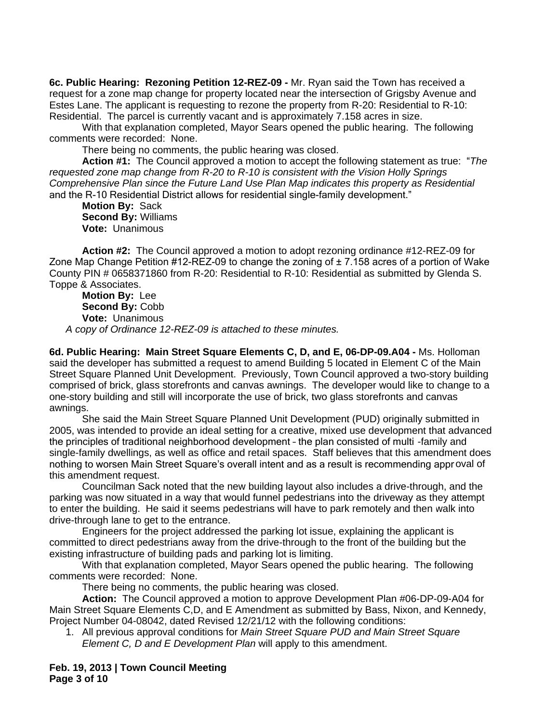**6c. Public Hearing: Rezoning Petition 12-REZ-09 -** Mr. Ryan said the Town has received a request for a zone map change for property located near the intersection of Grigsby Avenue and Estes Lane. The applicant is requesting to rezone the property from R-20: Residential to R-10: Residential. The parcel is currently vacant and is approximately 7.158 acres in size.

With that explanation completed, Mayor Sears opened the public hearing. The following comments were recorded: None.

There being no comments, the public hearing was closed.

**Action #1:** The Council approved a motion to accept the following statement as true: "*The requested zone map change from R-20 to R-10 is consistent with the Vision Holly Springs Comprehensive Plan since the Future Land Use Plan Map indicates this property as Residential*  and the R-10 Residential District allows for residential single-family development."

**Motion By:** Sack **Second By:** Williams **Vote:** Unanimous

**Action #2:** The Council approved a motion to adopt rezoning ordinance #12-REZ-09 for Zone Map Change Petition  $\#12\text{-REZ}-09$  to change the zoning of  $\pm 7.158$  acres of a portion of Wake County PIN # 0658371860 from R-20: Residential to R-10: Residential as submitted by Glenda S. Toppe & Associates.

**Motion By:** Lee **Second By:** Cobb **Vote:** Unanimous *A copy of Ordinance 12-REZ-09 is attached to these minutes.*

**6d. Public Hearing: Main Street Square Elements C, D, and E, 06-DP-09.A04 -** Ms. Holloman said the developer has submitted a request to amend Building 5 located in Element C of the Main Street Square Planned Unit Development. Previously, Town Council approved a two-story building comprised of brick, glass storefronts and canvas awnings. The developer would like to change to a one-story building and still will incorporate the use of brick, two glass storefronts and canvas awnings.

She said the Main Street Square Planned Unit Development (PUD) originally submitted in 2005, was intended to provide an ideal setting for a creative, mixed use development that advanced the principles of traditional neighborhood development – the plan consisted of multi -family and single-family dwellings, as well as office and retail spaces. Staff believes that this amendment does nothing to worsen Main Street Square's overall intent and as a result is recommending appr oval of this amendment request.

Councilman Sack noted that the new building layout also includes a drive-through, and the parking was now situated in a way that would funnel pedestrians into the driveway as they attempt to enter the building. He said it seems pedestrians will have to park remotely and then walk into drive-through lane to get to the entrance.

Engineers for the project addressed the parking lot issue, explaining the applicant is committed to direct pedestrians away from the drive-through to the front of the building but the existing infrastructure of building pads and parking lot is limiting.

With that explanation completed, Mayor Sears opened the public hearing. The following comments were recorded: None.

There being no comments, the public hearing was closed.

**Action:** The Council approved a motion to approve Development Plan #06-DP-09-A04 for Main Street Square Elements C,D, and E Amendment as submitted by Bass, Nixon, and Kennedy, Project Number 04-08042, dated Revised 12/21/12 with the following conditions:

1. All previous approval conditions for *Main Street Square PUD and Main Street Square Element C, D and E Development Plan* will apply to this amendment.

**Feb. 19, 2013 | Town Council Meeting Page 3 of 10**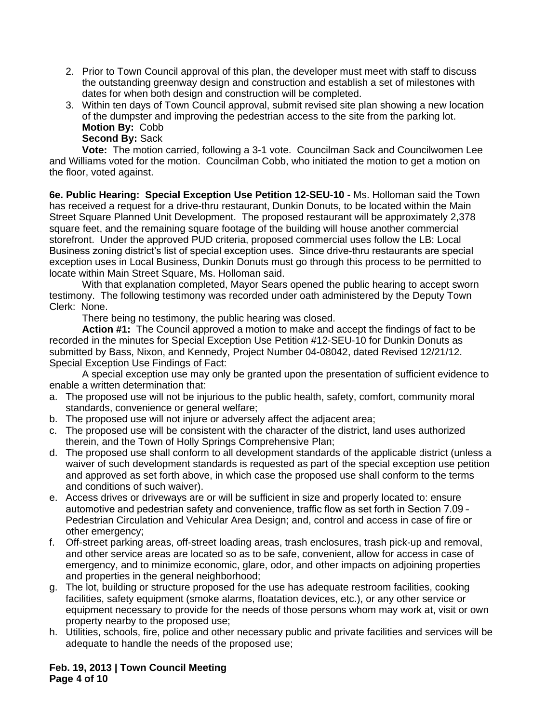- 2. Prior to Town Council approval of this plan, the developer must meet with staff to discuss the outstanding greenway design and construction and establish a set of milestones with dates for when both design and construction will be completed.
- 3. Within ten days of Town Council approval, submit revised site plan showing a new location of the dumpster and improving the pedestrian access to the site from the parking lot. **Motion By:** Cobb

**Second By:** Sack

**Vote:** The motion carried, following a 3-1 vote. Councilman Sack and Councilwomen Lee and Williams voted for the motion. Councilman Cobb, who initiated the motion to get a motion on the floor, voted against.

**6e. Public Hearing: Special Exception Use Petition 12-SEU-10 -** Ms. Holloman said the Town has received a request for a drive-thru restaurant, Dunkin Donuts, to be located within the Main Street Square Planned Unit Development. The proposed restaurant will be approximately 2,378 square feet, and the remaining square footage of the building will house another commercial storefront. Under the approved PUD criteria, proposed commercial uses follow the LB: Local Business zoning district's list of special exception uses. Since drive-thru restaurants are special exception uses in Local Business, Dunkin Donuts must go through this process to be permitted to locate within Main Street Square, Ms. Holloman said.

With that explanation completed, Mayor Sears opened the public hearing to accept sworn testimony. The following testimony was recorded under oath administered by the Deputy Town Clerk: None.

There being no testimony, the public hearing was closed.

**Action #1:** The Council approved a motion to make and accept the findings of fact to be recorded in the minutes for Special Exception Use Petition #12-SEU-10 for Dunkin Donuts as submitted by Bass, Nixon, and Kennedy, Project Number 04-08042, dated Revised 12/21/12. Special Exception Use Findings of Fact:

A special exception use may only be granted upon the presentation of sufficient evidence to enable a written determination that:

- a. The proposed use will not be injurious to the public health, safety, comfort, community moral standards, convenience or general welfare;
- b. The proposed use will not injure or adversely affect the adjacent area;
- c. The proposed use will be consistent with the character of the district, land uses authorized therein, and the Town of Holly Springs Comprehensive Plan;
- d. The proposed use shall conform to all development standards of the applicable district (unless a waiver of such development standards is requested as part of the special exception use petition and approved as set forth above, in which case the proposed use shall conform to the terms and conditions of such waiver).
- e. Access drives or driveways are or will be sufficient in size and properly located to: ensure automotive and pedestrian safety and convenience, traffic flow as set forth in Section 7.09 – Pedestrian Circulation and Vehicular Area Design; and, control and access in case of fire or other emergency;
- f. Off-street parking areas, off-street loading areas, trash enclosures, trash pick-up and removal, and other service areas are located so as to be safe, convenient, allow for access in case of emergency, and to minimize economic, glare, odor, and other impacts on adjoining properties and properties in the general neighborhood;
- g. The lot, building or structure proposed for the use has adequate restroom facilities, cooking facilities, safety equipment (smoke alarms, floatation devices, etc.), or any other service or equipment necessary to provide for the needs of those persons whom may work at, visit or own property nearby to the proposed use;
- h. Utilities, schools, fire, police and other necessary public and private facilities and services will be adequate to handle the needs of the proposed use;

**Feb. 19, 2013 | Town Council Meeting Page 4 of 10**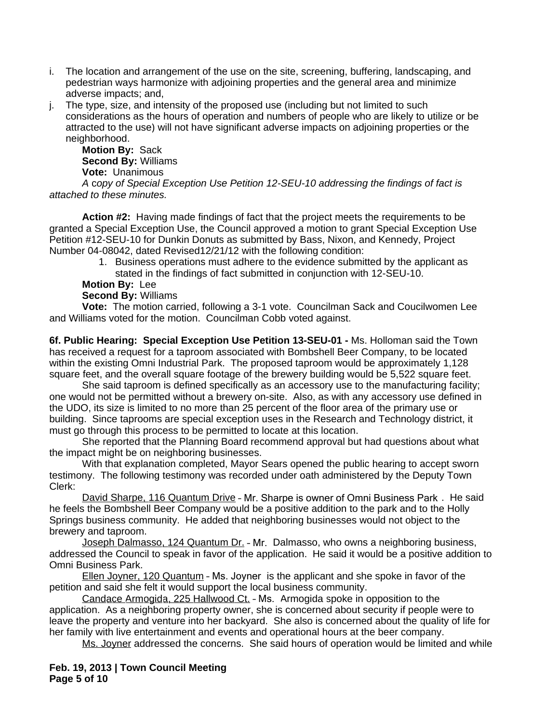- i. The location and arrangement of the use on the site, screening, buffering, landscaping, and pedestrian ways harmonize with adjoining properties and the general area and minimize adverse impacts; and,
- j. The type, size, and intensity of the proposed use (including but not limited to such considerations as the hours of operation and numbers of people who are likely to utilize or be attracted to the use) will not have significant adverse impacts on adjoining properties or the neighborhood.

**Motion By:** Sack **Second By:** Williams **Vote:** Unanimous

*A* c*opy of Special Exception Use Petition 12-SEU-10 addressing the findings of fact is attached to these minutes.*

**Action #2:** Having made findings of fact that the project meets the requirements to be granted a Special Exception Use, the Council approved a motion to grant Special Exception Use Petition #12-SEU-10 for Dunkin Donuts as submitted by Bass, Nixon, and Kennedy, Project Number 04-08042, dated Revised12/21/12 with the following condition:

1. Business operations must adhere to the evidence submitted by the applicant as stated in the findings of fact submitted in conjunction with 12-SEU-10.

# **Motion By:** Lee

**Second By:** Williams

**Vote:** The motion carried, following a 3-1 vote. Councilman Sack and Coucilwomen Lee and Williams voted for the motion. Councilman Cobb voted against.

**6f. Public Hearing: Special Exception Use Petition 13-SEU-01 -** Ms. Holloman said the Town has received a request for a taproom associated with Bombshell Beer Company, to be located within the existing Omni Industrial Park. The proposed taproom would be approximately 1,128 square feet, and the overall square footage of the brewery building would be 5,522 square feet.

She said taproom is defined specifically as an accessory use to the manufacturing facility; one would not be permitted without a brewery on-site. Also, as with any accessory use defined in the UDO, its size is limited to no more than 25 percent of the floor area of the primary use or building. Since taprooms are special exception uses in the Research and Technology district, it must go through this process to be permitted to locate at this location.

She reported that the Planning Board recommend approval but had questions about what the impact might be on neighboring businesses.

With that explanation completed, Mayor Sears opened the public hearing to accept sworn testimony. The following testimony was recorded under oath administered by the Deputy Town Clerk:

David Sharpe, 116 Quantum Drive – Mr. Sharpe is owner of Omni Business Park . He said he feels the Bombshell Beer Company would be a positive addition to the park and to the Holly Springs business community. He added that neighboring businesses would not object to the brewery and taproom.

Joseph Dalmasso, 124 Quantum Dr. - Mr. Dalmasso, who owns a neighboring business, addressed the Council to speak in favor of the application. He said it would be a positive addition to Omni Business Park.

Ellen Joyner, 120 Quantum – Ms. Joyner is the applicant and she spoke in favor of the petition and said she felt it would support the local business community.

Candace Armogida, 225 Hallwood Ct. – Ms. Armogida spoke in opposition to the application. As a neighboring property owner, she is concerned about security if people were to leave the property and venture into her backyard. She also is concerned about the quality of life for her family with live entertainment and events and operational hours at the beer company.

Ms. Joyner addressed the concerns. She said hours of operation would be limited and while

**Feb. 19, 2013 | Town Council Meeting Page 5 of 10**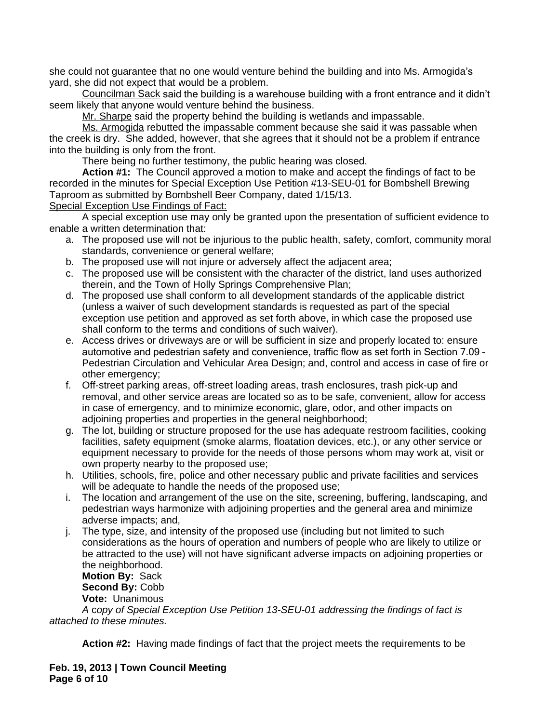she could not guarantee that no one would venture behind the building and into Ms. Armogida's yard, she did not expect that would be a problem.

Councilman Sack said the building is a warehouse building with a front entrance and it didn't seem likely that anyone would venture behind the business.

Mr. Sharpe said the property behind the building is wetlands and impassable.

Ms. Armogida rebutted the impassable comment because she said it was passable when the creek is dry. She added, however, that she agrees that it should not be a problem if entrance into the building is only from the front.

There being no further testimony, the public hearing was closed.

**Action #1:** The Council approved a motion to make and accept the findings of fact to be recorded in the minutes for Special Exception Use Petition #13-SEU-01 for Bombshell Brewing Taproom as submitted by Bombshell Beer Company, dated 1/15/13.

Special Exception Use Findings of Fact:

A special exception use may only be granted upon the presentation of sufficient evidence to enable a written determination that:

- a. The proposed use will not be injurious to the public health, safety, comfort, community moral standards, convenience or general welfare;
- b. The proposed use will not injure or adversely affect the adjacent area;
- c. The proposed use will be consistent with the character of the district, land uses authorized therein, and the Town of Holly Springs Comprehensive Plan;
- d. The proposed use shall conform to all development standards of the applicable district (unless a waiver of such development standards is requested as part of the special exception use petition and approved as set forth above, in which case the proposed use shall conform to the terms and conditions of such waiver).
- e. Access drives or driveways are or will be sufficient in size and properly located to: ensure automotive and pedestrian safety and convenience, traffic flow as set forth in Section 7.09 – Pedestrian Circulation and Vehicular Area Design; and, control and access in case of fire or other emergency;
- f. Off-street parking areas, off-street loading areas, trash enclosures, trash pick-up and removal, and other service areas are located so as to be safe, convenient, allow for access in case of emergency, and to minimize economic, glare, odor, and other impacts on adjoining properties and properties in the general neighborhood;
- g. The lot, building or structure proposed for the use has adequate restroom facilities, cooking facilities, safety equipment (smoke alarms, floatation devices, etc.), or any other service or equipment necessary to provide for the needs of those persons whom may work at, visit or own property nearby to the proposed use;
- h. Utilities, schools, fire, police and other necessary public and private facilities and services will be adequate to handle the needs of the proposed use;
- i. The location and arrangement of the use on the site, screening, buffering, landscaping, and pedestrian ways harmonize with adjoining properties and the general area and minimize adverse impacts; and,
- j. The type, size, and intensity of the proposed use (including but not limited to such considerations as the hours of operation and numbers of people who are likely to utilize or be attracted to the use) will not have significant adverse impacts on adjoining properties or the neighborhood.

**Motion By:** Sack **Second By:** Cobb **Vote:** Unanimous

*A* c*opy of Special Exception Use Petition 13-SEU-01 addressing the findings of fact is attached to these minutes.*

**Action #2:** Having made findings of fact that the project meets the requirements to be

**Feb. 19, 2013 | Town Council Meeting Page 6 of 10**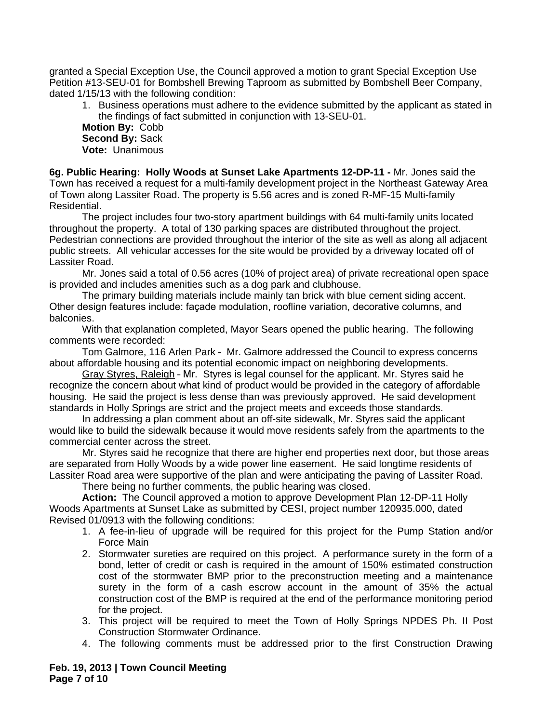granted a Special Exception Use, the Council approved a motion to grant Special Exception Use Petition #13-SEU-01 for Bombshell Brewing Taproom as submitted by Bombshell Beer Company, dated 1/15/13 with the following condition:

1. Business operations must adhere to the evidence submitted by the applicant as stated in the findings of fact submitted in conjunction with 13-SEU-01.

**Motion By:** Cobb **Second By:** Sack **Vote:** Unanimous

**6g. Public Hearing: Holly Woods at Sunset Lake Apartments 12-DP-11 -** Mr. Jones said the Town has received a request for a multi-family development project in the Northeast Gateway Area of Town along Lassiter Road. The property is 5.56 acres and is zoned R-MF-15 Multi-family Residential.

The project includes four two-story apartment buildings with 64 multi-family units located throughout the property. A total of 130 parking spaces are distributed throughout the project. Pedestrian connections are provided throughout the interior of the site as well as along all adjacent public streets. All vehicular accesses for the site would be provided by a driveway located off of Lassiter Road.

Mr. Jones said a total of 0.56 acres (10% of project area) of private recreational open space is provided and includes amenities such as a dog park and clubhouse.

The primary building materials include mainly tan brick with blue cement siding accent. Other design features include: façade modulation, roofline variation, decorative columns, and balconies.

With that explanation completed, Mayor Sears opened the public hearing. The following comments were recorded:

Tom Galmore, 116 Arlen Park – Mr. Galmore addressed the Council to express concerns about affordable housing and its potential economic impact on neighboring developments.

Gray Styres, Raleigh – Mr. Styres is legal counsel for the applicant. Mr. Styres said he recognize the concern about what kind of product would be provided in the category of affordable housing. He said the project is less dense than was previously approved. He said development standards in Holly Springs are strict and the project meets and exceeds those standards.

In addressing a plan comment about an off-site sidewalk, Mr. Styres said the applicant would like to build the sidewalk because it would move residents safely from the apartments to the commercial center across the street.

Mr. Styres said he recognize that there are higher end properties next door, but those areas are separated from Holly Woods by a wide power line easement. He said longtime residents of Lassiter Road area were supportive of the plan and were anticipating the paving of Lassiter Road.

There being no further comments, the public hearing was closed.

**Action:** The Council approved a motion to approve Development Plan 12-DP-11 Holly Woods Apartments at Sunset Lake as submitted by CESI, project number 120935.000, dated Revised 01/0913 with the following conditions:

- 1. A fee-in-lieu of upgrade will be required for this project for the Pump Station and/or Force Main
- 2. Stormwater sureties are required on this project. A performance surety in the form of a bond, letter of credit or cash is required in the amount of 150% estimated construction cost of the stormwater BMP prior to the preconstruction meeting and a maintenance surety in the form of a cash escrow account in the amount of 35% the actual construction cost of the BMP is required at the end of the performance monitoring period for the project.
- 3. This project will be required to meet the Town of Holly Springs NPDES Ph. II Post Construction Stormwater Ordinance.
- 4. The following comments must be addressed prior to the first Construction Drawing

**Feb. 19, 2013 | Town Council Meeting Page 7 of 10**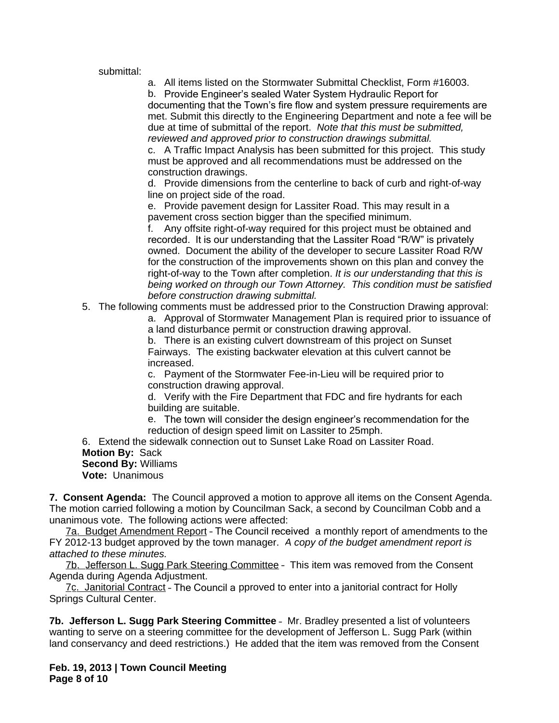submittal:

a. All items listed on the Stormwater Submittal Checklist, Form #16003.

b. Provide Engineer's sealed Water System Hydraulic Report for documenting that the Town's fire flow and system pressure requirements are met. Submit this directly to the Engineering Department and note a fee will be due at time of submittal of the report. *Note that this must be submitted, reviewed and approved prior to construction drawings submittal.*

c. A Traffic Impact Analysis has been submitted for this project. This study must be approved and all recommendations must be addressed on the construction drawings.

d. Provide dimensions from the centerline to back of curb and right-of-way line on project side of the road.

e. Provide pavement design for Lassiter Road. This may result in a pavement cross section bigger than the specified minimum.

f. Any offsite right-of-way required for this project must be obtained and recorded. It is our understanding that the Lassiter Road "R/W" is privately owned. Document the ability of the developer to secure Lassiter Road R/W for the construction of the improvements shown on this plan and convey the right-of-way to the Town after completion. *It is our understanding that this is being worked on through our Town Attorney. This condition must be satisfied before construction drawing submittal.*

5. The following comments must be addressed prior to the Construction Drawing approval:

a. Approval of Stormwater Management Plan is required prior to issuance of a land disturbance permit or construction drawing approval.

b. There is an existing culvert downstream of this project on Sunset Fairways. The existing backwater elevation at this culvert cannot be increased.

c. Payment of the Stormwater Fee-in-Lieu will be required prior to construction drawing approval.

d. Verify with the Fire Department that FDC and fire hydrants for each building are suitable.

e. The town will consider the design engineer's recommendation for the reduction of design speed limit on Lassiter to 25mph.

6. Extend the sidewalk connection out to Sunset Lake Road on Lassiter Road. **Motion By:** Sack **Second By:** Williams **Vote:** Unanimous

**7. Consent Agenda:** The Council approved a motion to approve all items on the Consent Agenda. The motion carried following a motion by Councilman Sack, a second by Councilman Cobb and a unanimous vote. The following actions were affected:

7a. Budget Amendment Report - The Council received a monthly report of amendments to the FY 2012-13 budget approved by the town manager. *A copy of the budget amendment report is attached to these minutes.*

7b. Jefferson L. Sugg Park Steering Committee – This item was removed from the Consent Agenda during Agenda Adjustment.

7c. Janitorial Contract - The Council a pproved to enter into a janitorial contract for Holly Springs Cultural Center.

**7b. Jefferson L. Sugg Park Steering Committee** – Mr. Bradley presented a list of volunteers wanting to serve on a steering committee for the development of Jefferson L. Sugg Park (within land conservancy and deed restrictions.) He added that the item was removed from the Consent

**Feb. 19, 2013 | Town Council Meeting Page 8 of 10**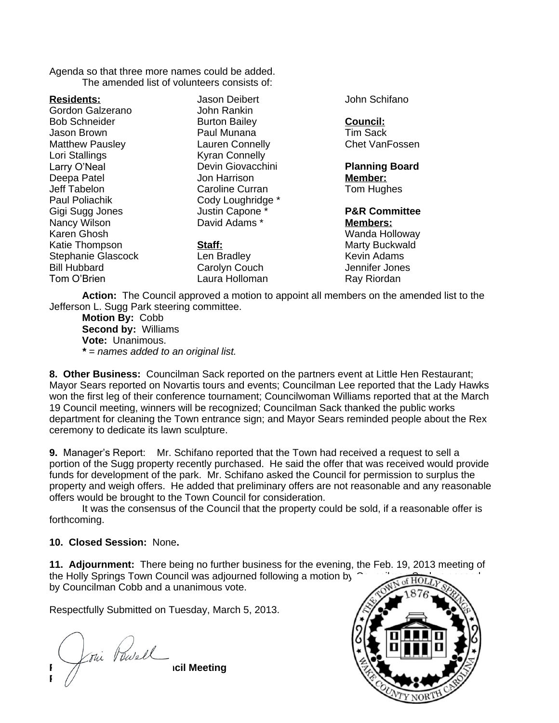Agenda so that three more names could be added. The amended list of volunteers consists of:

**Residents:**

Gordon Galzerano Bob Schneider Jason Brown Matthew Pausley Lori Stallings Larry O'Neal Deepa Patel Jeff Tabelon Paul Poliachik Gigi Sugg Jones Nancy Wilson Karen Ghosh Katie Thompson Stephanie Glascock Bill Hubbard Tom O'Brien

Jason Deibert John Rankin Burton Bailey Paul Munana Lauren Connelly Kyran Connelly Devin Giovacchini Jon Harrison Caroline Curran Cody Loughridge \* Justin Capone \* David Adams \*

**Staff:** Len Bradley Carolyn Couch Laura Holloman John Schifano

## **Council:**

Tim Sack Chet VanFossen

**Planning Board Member:** Tom Hughes

**P&R Committee Members:** Wanda Holloway Marty Buckwald Kevin Adams Jennifer Jones

Ray Riordan

**Action:** The Council approved a motion to appoint all members on the amended list to the Jefferson L. Sugg Park steering committee.

**Motion By:** Cobb **Second by:** Williams **Vote:** Unanimous. *\* = names added to an original list.*

**8. Other Business:** Councilman Sack reported on the partners event at Little Hen Restaurant; Mayor Sears reported on Novartis tours and events; Councilman Lee reported that the Lady Hawks won the first leg of their conference tournament; Councilwoman Williams reported that at the March 19 Council meeting, winners will be recognized; Councilman Sack thanked the public works department for cleaning the Town entrance sign; and Mayor Sears reminded people about the Rex ceremony to dedicate its lawn sculpture.

**9.** Manager's Report: Mr. Schifano reported that the Town had received a request to sell a portion of the Sugg property recently purchased. He said the offer that was received would provide funds for development of the park. Mr. Schifano asked the Council for permission to surplus the property and weigh offers. He added that preliminary offers are not reasonable and any reasonable offers would be brought to the Town Council for consideration.

It was the consensus of the Council that the property could be sold, if a reasonable offer is forthcoming.

### **10. Closed Session:** None**.**

**11. Adjournment:** There being no further business for the evening, the Feb. 19, 2013 meeting of the Holly Springs Town Council was adjourned following a motion by  $\hat{C}$ by Councilman Cobb and a unanimous vote.

Respectfully Submitted on Tuesday, March 5, 2013.

**Feb. 19, 2013 | Town Council Meeting Page 9** of 10